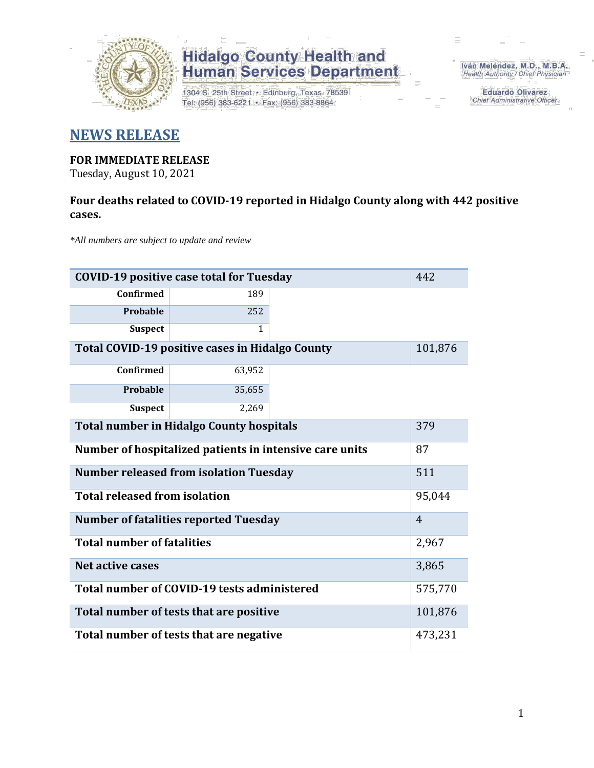

1304 S. 25th Street · Edinburg, Texas 78539 Tel: (956) 383-6221 · Fax: (956) 383-8864

Iván Meléndez, M.D., M.B.A. Health Authority / Chief Physician

> **Eduardo Olivarez** Chief Administrative Officer

#### **NEWS RELEASE**

#### **FOR IMMEDIATE RELEASE**

Tuesday, August 10, 2021

#### **Four deaths related to COVID-19 reported in Hidalgo County along with 442 positive cases.**

*\*All numbers are subject to update and review*

| <b>COVID-19 positive case total for Tuesday</b><br>442  |                                              |  |                |  |  |  |  |
|---------------------------------------------------------|----------------------------------------------|--|----------------|--|--|--|--|
| <b>Confirmed</b>                                        | 189                                          |  |                |  |  |  |  |
| Probable                                                | 252                                          |  |                |  |  |  |  |
| <b>Suspect</b>                                          | $\mathbf{1}$                                 |  |                |  |  |  |  |
| Total COVID-19 positive cases in Hidalgo County         |                                              |  |                |  |  |  |  |
| <b>Confirmed</b>                                        | 63,952                                       |  |                |  |  |  |  |
| <b>Probable</b>                                         | 35,655                                       |  |                |  |  |  |  |
| <b>Suspect</b>                                          | 2,269                                        |  |                |  |  |  |  |
| <b>Total number in Hidalgo County hospitals</b>         | 379                                          |  |                |  |  |  |  |
| Number of hospitalized patients in intensive care units | 87                                           |  |                |  |  |  |  |
| <b>Number released from isolation Tuesday</b><br>511    |                                              |  |                |  |  |  |  |
| <b>Total released from isolation</b>                    |                                              |  | 95,044         |  |  |  |  |
|                                                         | <b>Number of fatalities reported Tuesday</b> |  | $\overline{4}$ |  |  |  |  |
| <b>Total number of fatalities</b>                       |                                              |  | 2,967          |  |  |  |  |
| Net active cases                                        |                                              |  | 3,865          |  |  |  |  |
| Total number of COVID-19 tests administered             | 575,770                                      |  |                |  |  |  |  |
| Total number of tests that are positive                 | 101,876                                      |  |                |  |  |  |  |
| Total number of tests that are negative                 | 473,231                                      |  |                |  |  |  |  |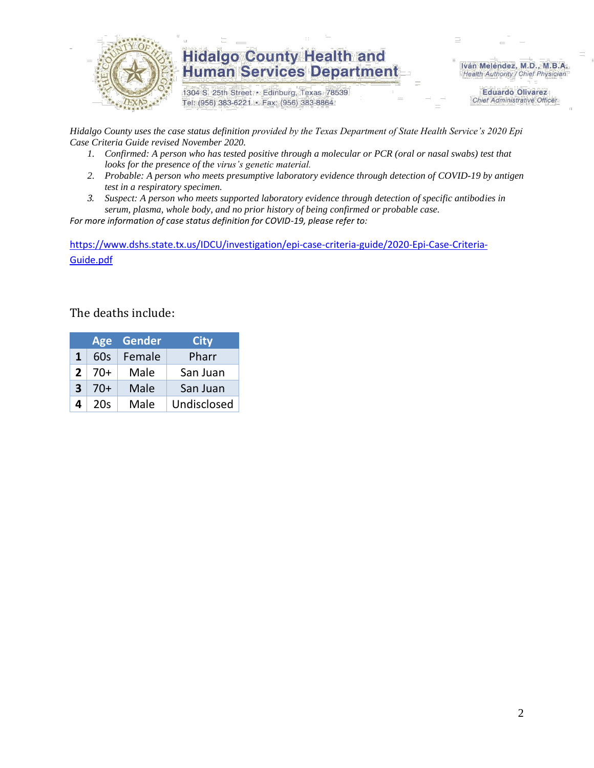

1304 S. 25th Street · Edinburg, Texas 78539 Tel: (956) 383-6221 · Fax: (956) 383-8864

Iván Meléndez, M.D., M.B.A. Health Authority / Chief Physician

> **Eduardo Olivarez Chief Administrative Officer**

*Hidalgo County uses the case status definition provided by the Texas Department of State Health Service's 2020 Epi Case Criteria Guide revised November 2020.*

- *1. Confirmed: A person who has tested positive through a molecular or PCR (oral or nasal swabs) test that looks for the presence of the virus's genetic material.*
- *2. Probable: A person who meets presumptive laboratory evidence through detection of COVID-19 by antigen test in a respiratory specimen.*
- *3. Suspect: A person who meets supported laboratory evidence through detection of specific antibodies in serum, plasma, whole body, and no prior history of being confirmed or probable case.*

*For more information of case status definition for COVID-19, please refer to:*

[https://www.dshs.state.tx.us/IDCU/investigation/epi-case-criteria-guide/2020-Epi-Case-Criteria-](https://www.dshs.state.tx.us/IDCU/investigation/epi-case-criteria-guide/2020-Epi-Case-Criteria-Guide.pdf)[Guide.pdf](https://www.dshs.state.tx.us/IDCU/investigation/epi-case-criteria-guide/2020-Epi-Case-Criteria-Guide.pdf)

#### The deaths include:

|   | Age   | Gender | <b>City</b> |
|---|-------|--------|-------------|
| 1 | 60s   | Female | Pharr       |
| 2 | $70+$ | Male   | San Juan    |
| 3 | 70+   | Male   | San Juan    |
| 4 | 20s   | Male   | Undisclosed |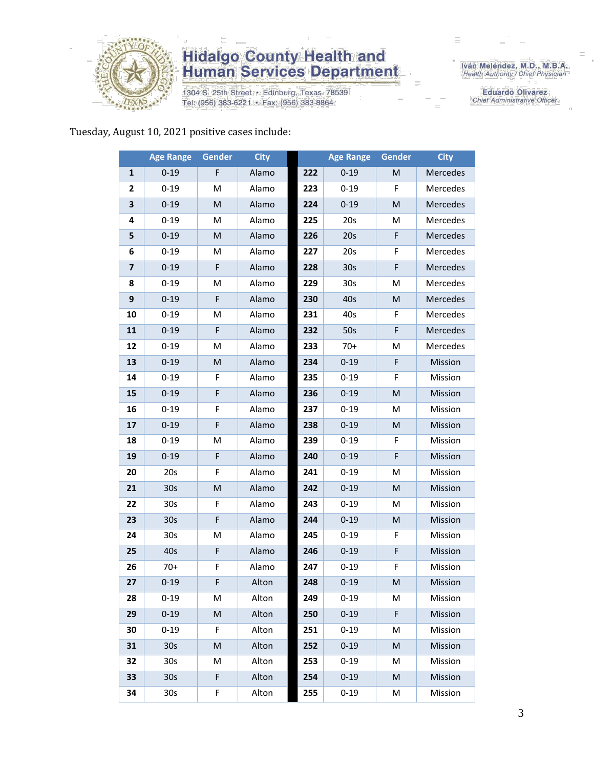

1304 S. 25th Street · Edinburg, Texas 78539 Tel: (956) 383-6221 · Fax: (956) 383-8864

Iván Meléndez, M.D., M.B.A.<br>Health Authority / Chief Physician

**Eduardo Olivarez** Chief Administrative Officer

Tuesday, August 10, 2021 positive cases include:

|                         | <b>Age Range</b> | Gender | <b>City</b> |     | <b>Age Range</b> | Gender | <b>City</b> |
|-------------------------|------------------|--------|-------------|-----|------------------|--------|-------------|
| $\mathbf{1}$            | $0 - 19$         | F      | Alamo       | 222 | $0 - 19$         | M      | Mercedes    |
| 2                       | $0 - 19$         | м      | Alamo       | 223 | $0 - 19$         | F      | Mercedes    |
| 3                       | $0 - 19$         | M      | Alamo       | 224 | $0 - 19$         | M      | Mercedes    |
| 4                       | $0 - 19$         | M      | Alamo       | 225 | 20s              | М      | Mercedes    |
| 5                       | $0 - 19$         | M      | Alamo       | 226 | 20s              | F      | Mercedes    |
| 6                       | $0 - 19$         | M      | Alamo       | 227 | 20s              | F      | Mercedes    |
| $\overline{\mathbf{z}}$ | $0 - 19$         | F      | Alamo       | 228 | 30 <sub>s</sub>  | F      | Mercedes    |
| 8                       | $0 - 19$         | M      | Alamo       | 229 | 30 <sub>s</sub>  | M      | Mercedes    |
| $\boldsymbol{9}$        | $0 - 19$         | F      | Alamo       | 230 | 40s              | M      | Mercedes    |
| 10                      | $0 - 19$         | M      | Alamo       | 231 | 40s              | F      | Mercedes    |
| 11                      | $0 - 19$         | F      | Alamo       | 232 | 50s              | F      | Mercedes    |
| 12                      | $0 - 19$         | M      | Alamo       | 233 | $70+$            | M      | Mercedes    |
| 13                      | $0 - 19$         | M      | Alamo       | 234 | $0 - 19$         | F      | Mission     |
| 14                      | $0 - 19$         | F      | Alamo       | 235 | $0 - 19$         | F      | Mission     |
| 15                      | $0 - 19$         | F      | Alamo       | 236 | $0 - 19$         | M      | Mission     |
| 16                      | $0 - 19$         | F      | Alamo       | 237 | $0 - 19$         | M      | Mission     |
| 17                      | $0 - 19$         | F      | Alamo       | 238 | $0 - 19$         | M      | Mission     |
| 18                      | $0 - 19$         | М      | Alamo       | 239 | $0 - 19$         | F      | Mission     |
| 19                      | $0 - 19$         | F      | Alamo       | 240 | $0 - 19$         | F      | Mission     |
| 20                      | 20s              | F      | Alamo       | 241 | $0 - 19$         | M      | Mission     |
| 21                      | 30 <sub>s</sub>  | M      | Alamo       | 242 | $0 - 19$         | M      | Mission     |
| 22                      | 30 <sub>s</sub>  | F      | Alamo       | 243 | $0 - 19$         | M      | Mission     |
| 23                      | 30 <sub>s</sub>  | F      | Alamo       | 244 | $0 - 19$         | M      | Mission     |
| 24                      | 30 <sub>s</sub>  | M      | Alamo       | 245 | $0 - 19$         | F      | Mission     |
| 25                      | 40s              | F      | Alamo       | 246 | $0 - 19$         | F      | Mission     |
| 26                      | $70+$            | F      | Alamo       | 247 | $0 - 19$         | F      | Mission     |
| 27                      | $0 - 19$         | F      | Alton       | 248 | $0 - 19$         | M      | Mission     |
| 28                      | 0-19             | М      | Alton       | 249 | 0-19             | M      | Mission     |
| 29                      | $0 - 19$         | M      | Alton       | 250 | $0 - 19$         | F      | Mission     |
| 30                      | $0 - 19$         | F      | Alton       | 251 | $0 - 19$         | M      | Mission     |
| 31                      | 30 <sub>s</sub>  | M      | Alton       | 252 | $0 - 19$         | M      | Mission     |
| 32                      | 30 <sub>s</sub>  | M      | Alton       | 253 | $0 - 19$         | M      | Mission     |
| 33                      | 30 <sub>s</sub>  | F      | Alton       | 254 | $0 - 19$         | M      | Mission     |
| 34                      | 30 <sub>s</sub>  | F      | Alton       | 255 | $0 - 19$         | M      | Mission     |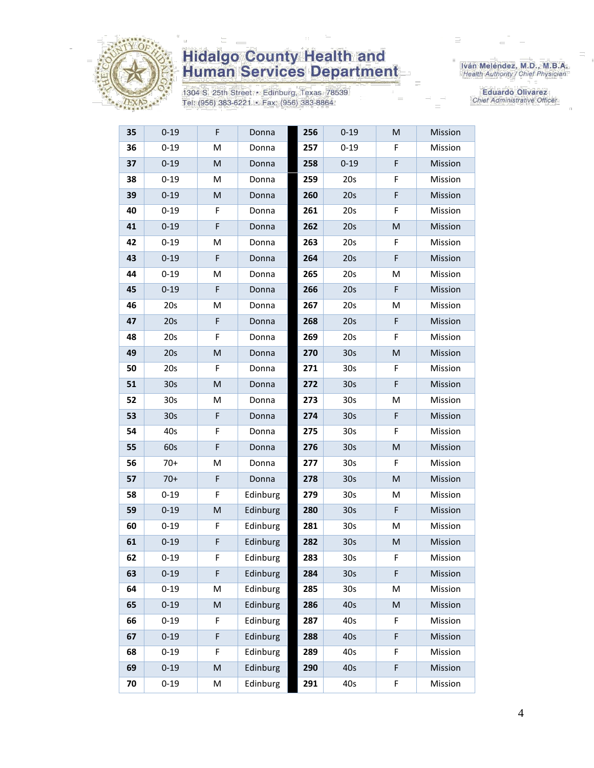

1304 S. 25th Street · Edinburg, Texas 78539 Tel: (956) 383-6221 · Fax: (956) 383-8864

Iván Meléndez, M.D., M.B.A.<br>Health Authority / Chief Physician

| 35 | $0 - 19$        | F         | Donna    | 256 | $0 - 19$        | M           | Mission |
|----|-----------------|-----------|----------|-----|-----------------|-------------|---------|
| 36 | $0 - 19$        | M         | Donna    | 257 | $0 - 19$        | F           | Mission |
| 37 | $0 - 19$        | M         | Donna    | 258 | $0 - 19$        | $\mathsf F$ | Mission |
| 38 | $0 - 19$        | M         | Donna    | 259 | 20s             | F           | Mission |
| 39 | $0 - 19$        | M         | Donna    | 260 | 20s             | F           | Mission |
| 40 | $0 - 19$        | F         | Donna    | 261 | 20s             | F           | Mission |
| 41 | $0 - 19$        | F         | Donna    | 262 | 20s             | M           | Mission |
| 42 | $0 - 19$        | M         | Donna    | 263 | 20s             | F           | Mission |
| 43 | $0 - 19$        | F         | Donna    | 264 | 20s             | F           | Mission |
| 44 | $0 - 19$        | M         | Donna    | 265 | 20s             | M           | Mission |
| 45 | $0 - 19$        | F         | Donna    | 266 | 20s             | F           | Mission |
| 46 | 20s             | M         | Donna    | 267 | 20s             | м           | Mission |
| 47 | 20s             | F         | Donna    | 268 | 20s             | F           | Mission |
| 48 | 20s             | F         | Donna    | 269 | 20s             | F           | Mission |
| 49 | 20s             | M         | Donna    | 270 | 30 <sub>s</sub> | M           | Mission |
| 50 | 20s             | F         | Donna    | 271 | 30 <sub>s</sub> | F           | Mission |
| 51 | 30 <sub>s</sub> | M         | Donna    | 272 | 30 <sub>s</sub> | $\mathsf F$ | Mission |
| 52 | 30 <sub>s</sub> | M         | Donna    | 273 | 30 <sub>s</sub> | Μ           | Mission |
| 53 | 30 <sub>s</sub> | F         | Donna    | 274 | 30 <sub>s</sub> | F           | Mission |
| 54 | 40s             | F         | Donna    | 275 | 30 <sub>s</sub> | F           | Mission |
| 55 | 60s             | F         | Donna    | 276 | 30 <sub>s</sub> | M           | Mission |
| 56 | $70+$           | M         | Donna    | 277 | 30 <sub>s</sub> | F           | Mission |
| 57 | $70+$           | F         | Donna    | 278 | 30 <sub>s</sub> | M           | Mission |
| 58 | $0 - 19$        | F         | Edinburg | 279 | 30 <sub>s</sub> | Μ           | Mission |
| 59 | $0 - 19$        | M         | Edinburg | 280 | 30 <sub>s</sub> | F           | Mission |
| 60 | $0 - 19$        | F         | Edinburg | 281 | 30 <sub>s</sub> | Μ           | Mission |
| 61 | $0 - 19$        | F         | Edinburg | 282 | 30 <sub>s</sub> | M           | Mission |
| 62 | $0 - 19$        | F         | Edinburg | 283 | 30 <sub>s</sub> | F           | Mission |
| 63 | $0 - 19$        | F         | Edinburg | 284 | 30 <sub>s</sub> | F           | Mission |
| 64 | $0 - 19$        | M         | Edinburg | 285 | 30 <sub>s</sub> | Μ           | Mission |
| 65 | $0 - 19$        | M         | Edinburg | 286 | 40s             | M           | Mission |
| 66 | $0 - 19$        | F         | Edinburg | 287 | 40s             | F           | Mission |
| 67 | $0 - 19$        | F         | Edinburg | 288 | 40s             | F           | Mission |
| 68 | $0 - 19$        | F         | Edinburg | 289 | 40s             | F           | Mission |
| 69 | $0 - 19$        | ${\sf M}$ | Edinburg | 290 | 40s             | F           | Mission |
| 70 | $0 - 19$        | M         | Edinburg | 291 | 40s             | F           | Mission |
|    |                 |           |          |     |                 |             |         |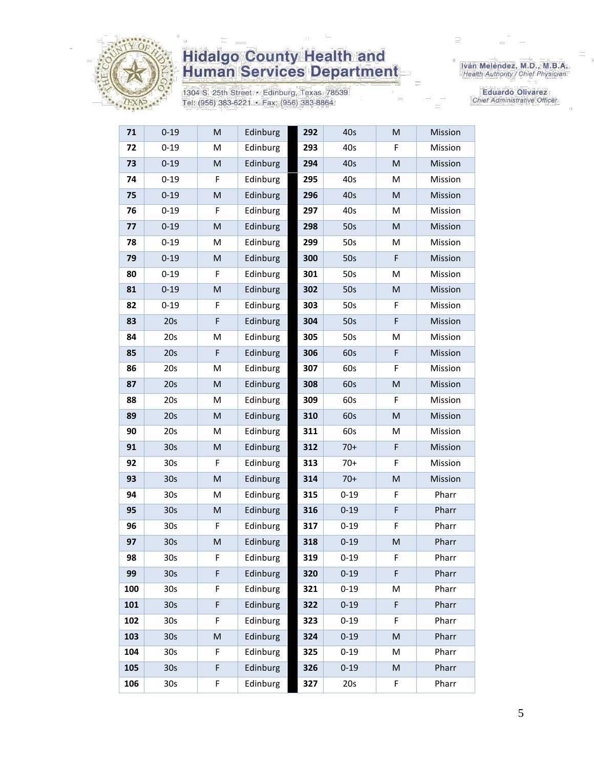

1304 S. 25th Street · Edinburg, Texas 78539 Tel: (956) 383-6221 · Fax: (956) 383-8864

Iván Meléndez, M.D., M.B.A.<br>Health Authority / Chief Physician

| 71  | 0-19            | M         | Edinburg | 292 | 40s      | M | Mission |
|-----|-----------------|-----------|----------|-----|----------|---|---------|
| 72  | $0 - 19$        | M         | Edinburg | 293 | 40s      | F | Mission |
| 73  | $0 - 19$        | ${\sf M}$ | Edinburg | 294 | 40s      | M | Mission |
| 74  | $0 - 19$        | F         | Edinburg | 295 | 40s      | M | Mission |
| 75  | $0 - 19$        | M         | Edinburg | 296 | 40s      | M | Mission |
| 76  | $0 - 19$        | F         | Edinburg | 297 | 40s      | M | Mission |
| 77  | $0 - 19$        | ${\sf M}$ | Edinburg | 298 | 50s      | M | Mission |
| 78  | $0 - 19$        | M         | Edinburg | 299 | 50s      | M | Mission |
| 79  | $0 - 19$        | M         | Edinburg | 300 | 50s      | F | Mission |
| 80  | $0 - 19$        | F         | Edinburg | 301 | 50s      | M | Mission |
| 81  | $0 - 19$        | M         | Edinburg | 302 | 50s      | M | Mission |
| 82  | $0 - 19$        | F         | Edinburg | 303 | 50s      | F | Mission |
| 83  | 20s             | F         | Edinburg | 304 | 50s      | F | Mission |
| 84  | 20s             | M         | Edinburg | 305 | 50s      | M | Mission |
| 85  | 20s             | F         | Edinburg | 306 | 60s      | F | Mission |
| 86  | 20s             | M         | Edinburg | 307 | 60s      | F | Mission |
| 87  | 20s             | ${\sf M}$ | Edinburg | 308 | 60s      | M | Mission |
| 88  | 20s             | M         | Edinburg | 309 | 60s      | F | Mission |
| 89  | 20s             | M         | Edinburg | 310 | 60s      | M | Mission |
| 90  | 20s             | M         | Edinburg | 311 | 60s      | M | Mission |
| 91  | 30 <sub>s</sub> | M         | Edinburg | 312 | $70+$    | F | Mission |
| 92  | 30 <sub>s</sub> | F         | Edinburg | 313 | $70+$    | F | Mission |
| 93  | 30 <sub>s</sub> | ${\sf M}$ | Edinburg | 314 | $70+$    | M | Mission |
| 94  | 30 <sub>s</sub> | M         | Edinburg | 315 | $0 - 19$ | F | Pharr   |
| 95  | 30 <sub>s</sub> | M         | Edinburg | 316 | $0 - 19$ | F | Pharr   |
| 96  | 30s             | F         | Edinburg | 317 | $0 - 19$ | F | Pharr   |
| 97  | 30 <sub>s</sub> | ${\sf M}$ | Edinburg | 318 | $0 - 19$ | M | Pharr   |
| 98  | 30s             | F         | Edinburg | 319 | $0 - 19$ | F | Pharr   |
| 99  | 30 <sub>s</sub> | F         | Edinburg | 320 | $0 - 19$ | F | Pharr   |
| 100 | 30 <sub>s</sub> | F         | Edinburg | 321 | $0 - 19$ | M | Pharr   |
| 101 | 30s             | F         | Edinburg | 322 | $0 - 19$ | F | Pharr   |
| 102 | 30s             | F         | Edinburg | 323 | $0 - 19$ | F | Pharr   |
| 103 | 30 <sub>s</sub> | M         | Edinburg | 324 | $0 - 19$ | M | Pharr   |
| 104 | 30 <sub>s</sub> | F         | Edinburg | 325 | $0 - 19$ | M | Pharr   |
| 105 | 30 <sub>s</sub> | F         | Edinburg | 326 | $0 - 19$ | M | Pharr   |
| 106 | 30 <sub>s</sub> | F         | Edinburg | 327 | 20s      | F | Pharr   |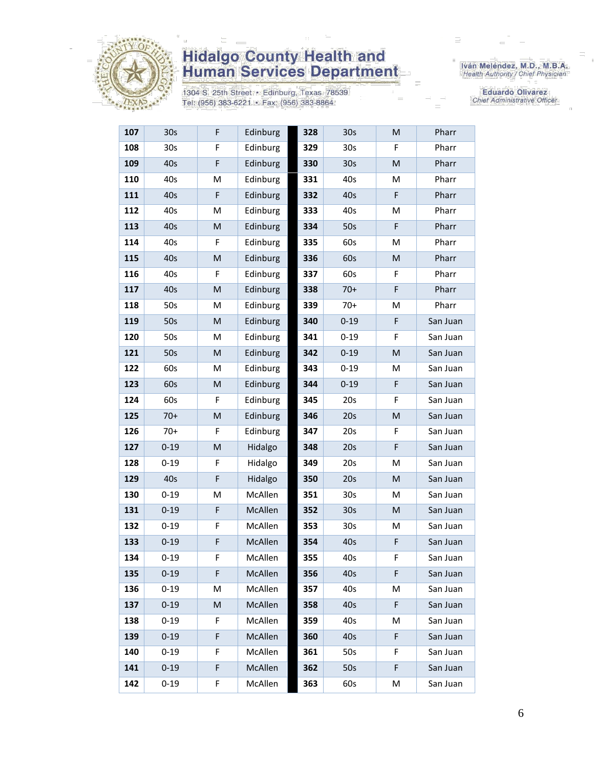

1304 S. 25th Street · Edinburg, Texas 78539 Tel: (956) 383-6221 · Fax: (956) 383-8864

Iván Meléndez, M.D., M.B.A.<br>Health Authority / Chief Physician

| 107 | 30s             | F         | Edinburg | 328 | 30 <sub>s</sub> | M | Pharr    |
|-----|-----------------|-----------|----------|-----|-----------------|---|----------|
| 108 | 30 <sub>s</sub> | F         | Edinburg | 329 | 30 <sub>s</sub> | F | Pharr    |
| 109 | 40s             | F         | Edinburg | 330 | 30 <sub>s</sub> | M | Pharr    |
| 110 | 40s             | M         | Edinburg | 331 | 40s             | M | Pharr    |
| 111 | 40s             | F         | Edinburg | 332 | 40s             | F | Pharr    |
| 112 | 40s             | M         | Edinburg | 333 | 40s             | M | Pharr    |
| 113 | 40s             | M         | Edinburg | 334 | 50s             | F | Pharr    |
| 114 | 40s             | F         | Edinburg | 335 | 60s             | M | Pharr    |
| 115 | 40s             | M         | Edinburg | 336 | 60s             | M | Pharr    |
| 116 | 40s             | F         | Edinburg | 337 | 60s             | F | Pharr    |
| 117 | 40s             | M         | Edinburg | 338 | $70+$           | F | Pharr    |
| 118 | 50s             | M         | Edinburg | 339 | $70+$           | M | Pharr    |
| 119 | 50s             | M         | Edinburg | 340 | $0 - 19$        | F | San Juan |
| 120 | 50s             | M         | Edinburg | 341 | $0 - 19$        | F | San Juan |
| 121 | 50s             | M         | Edinburg | 342 | $0 - 19$        | M | San Juan |
| 122 | 60s             | M         | Edinburg | 343 | $0 - 19$        | М | San Juan |
| 123 | 60s             | M         | Edinburg | 344 | $0 - 19$        | F | San Juan |
| 124 | 60s             | F         | Edinburg | 345 | 20s             | F | San Juan |
| 125 | $70+$           | ${\sf M}$ | Edinburg | 346 | 20s             | M | San Juan |
| 126 | $70+$           | F         | Edinburg | 347 | 20s             | F | San Juan |
| 127 | $0 - 19$        | M         | Hidalgo  | 348 | 20s             | F | San Juan |
| 128 | $0 - 19$        | F         | Hidalgo  | 349 | 20s             | M | San Juan |
| 129 | 40s             | F         | Hidalgo  | 350 | 20s             | M | San Juan |
| 130 | $0 - 19$        | M         | McAllen  | 351 | 30 <sub>s</sub> | M | San Juan |
| 131 | $0 - 19$        | F         | McAllen  | 352 | 30 <sub>s</sub> | M | San Juan |
| 132 | $0 - 19$        | F         | McAllen  | 353 | 30 <sub>s</sub> | М | San Juan |
| 133 | $0 - 19$        | F         | McAllen  | 354 | 40s             | F | San Juan |
| 134 | $0 - 19$        | F         | McAllen  | 355 | 40s             | F | San Juan |
| 135 | $0 - 19$        | F         | McAllen  | 356 | 40s             | F | San Juan |
| 136 | $0 - 19$        | Μ         | McAllen  | 357 | 40s             | М | San Juan |
| 137 | $0 - 19$        | M         | McAllen  | 358 | 40s             | F | San Juan |
| 138 | $0 - 19$        | F         | McAllen  | 359 | 40s             | м | San Juan |
| 139 | $0 - 19$        | F         | McAllen  | 360 | 40 <sub>s</sub> | F | San Juan |
| 140 | $0 - 19$        | F         | McAllen  | 361 | 50s             | F | San Juan |
| 141 | $0 - 19$        | F         | McAllen  | 362 | 50s             | F | San Juan |
| 142 | $0 - 19$        | F         | McAllen  | 363 | 60s             | M | San Juan |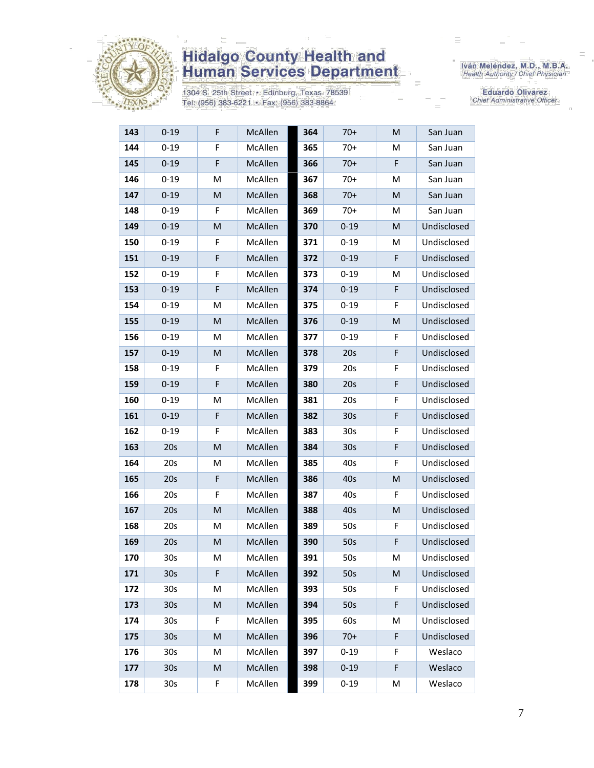

1304 S. 25th Street · Edinburg, Texas 78539 Tel: (956) 383-6221 · Fax: (956) 383-8864

Iván Meléndez, M.D., M.B.A.<br>Health Authority / Chief Physician

| 143 | $0 - 19$        | F | McAllen        | 364 | 70+             | M | San Juan    |
|-----|-----------------|---|----------------|-----|-----------------|---|-------------|
| 144 | $0 - 19$        | F | McAllen        | 365 | $70+$           | M | San Juan    |
| 145 | $0 - 19$        | F | McAllen        | 366 | $70+$           | F | San Juan    |
| 146 | $0 - 19$        | M | McAllen        | 367 | $70+$           | M | San Juan    |
| 147 | $0 - 19$        | M | <b>McAllen</b> | 368 | $70+$           | М | San Juan    |
| 148 | $0 - 19$        | F | McAllen        | 369 | $70+$           | M | San Juan    |
| 149 | $0 - 19$        | M | McAllen        | 370 | $0 - 19$        | M | Undisclosed |
| 150 | $0 - 19$        | F | McAllen        | 371 | $0 - 19$        | M | Undisclosed |
| 151 | $0 - 19$        | F | McAllen        | 372 | $0 - 19$        | F | Undisclosed |
| 152 | $0 - 19$        | F | McAllen        | 373 | $0 - 19$        | M | Undisclosed |
| 153 | $0 - 19$        | F | <b>McAllen</b> | 374 | $0 - 19$        | F | Undisclosed |
| 154 | $0 - 19$        | M | McAllen        | 375 | $0 - 19$        | F | Undisclosed |
| 155 | $0 - 19$        | M | McAllen        | 376 | $0 - 19$        | M | Undisclosed |
| 156 | $0 - 19$        | M | McAllen        | 377 | $0 - 19$        | F | Undisclosed |
| 157 | $0 - 19$        | M | McAllen        | 378 | 20s             | F | Undisclosed |
| 158 | $0 - 19$        | F | McAllen        | 379 | 20s             | F | Undisclosed |
| 159 | $0 - 19$        | F | McAllen        | 380 | 20s             | F | Undisclosed |
| 160 | $0 - 19$        | M | <b>McAllen</b> | 381 | 20s             | F | Undisclosed |
| 161 | $0 - 19$        | F | <b>McAllen</b> | 382 | 30 <sub>s</sub> | F | Undisclosed |
| 162 | $0 - 19$        | F | McAllen        | 383 | 30 <sub>s</sub> | F | Undisclosed |
| 163 | 20s             | M | McAllen        | 384 | 30 <sub>s</sub> | F | Undisclosed |
| 164 | 20s             | M | McAllen        | 385 | 40s             | F | Undisclosed |
| 165 | 20s             | F | McAllen        | 386 | 40s             | M | Undisclosed |
| 166 | 20s             | F | McAllen        | 387 | 40s             | F | Undisclosed |
| 167 | 20s             | M | McAllen        | 388 | 40s             | Μ | Undisclosed |
| 168 | 20s             | M | McAllen        | 389 | 50s             | F | Undisclosed |
| 169 | 20s             | M | McAllen        | 390 | 50s             | F | Undisclosed |
| 170 | 30s             | M | McAllen        | 391 | 50s             | M | Undisclosed |
| 171 | 30 <sub>s</sub> | F | McAllen        | 392 | 50s             | Μ | Undisclosed |
| 172 | 30 <sub>s</sub> | M | McAllen        | 393 | 50s             | F | Undisclosed |
| 173 | 30 <sub>s</sub> | M | McAllen        | 394 | 50s             | F | Undisclosed |
| 174 | 30s             | F | McAllen        | 395 | 60s             | М | Undisclosed |
| 175 | 30 <sub>s</sub> | M | McAllen        | 396 | $70+$           | F | Undisclosed |
| 176 | 30 <sub>s</sub> | M | McAllen        | 397 | $0 - 19$        | F | Weslaco     |
| 177 | 30 <sub>s</sub> | M | McAllen        | 398 | $0 - 19$        | F | Weslaco     |
| 178 | 30 <sub>s</sub> | F | McAllen        | 399 | $0 - 19$        | M | Weslaco     |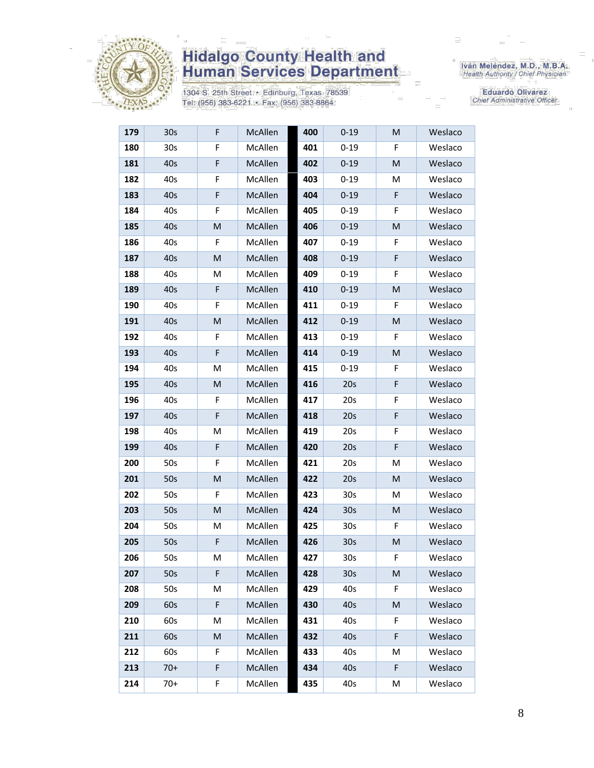

1304 S. 25th Street · Edinburg, Texas 78539 Tel: (956) 383-6221 · Fax: (956) 383-8864

Iván Meléndez, M.D., M.B.A.<br>Health Authority / Chief Physician

| 179 | 30s             | F | McAllen | 400 | $0 - 19$        | M | Weslaco |
|-----|-----------------|---|---------|-----|-----------------|---|---------|
| 180 | 30 <sub>s</sub> | F | McAllen | 401 | $0 - 19$        | F | Weslaco |
| 181 | 40s             | F | McAllen | 402 | $0 - 19$        | M | Weslaco |
| 182 | 40s             | F | McAllen | 403 | $0 - 19$        | M | Weslaco |
| 183 | 40s             | F | McAllen | 404 | $0 - 19$        | F | Weslaco |
| 184 | 40s             | F | McAllen | 405 | $0 - 19$        | F | Weslaco |
| 185 | 40s             | M | McAllen | 406 | $0 - 19$        | M | Weslaco |
| 186 | 40s             | F | McAllen | 407 | $0 - 19$        | F | Weslaco |
| 187 | 40s             | M | McAllen | 408 | $0 - 19$        | F | Weslaco |
| 188 | 40s             | M | McAllen | 409 | $0 - 19$        | F | Weslaco |
| 189 | 40s             | F | McAllen | 410 | $0 - 19$        | M | Weslaco |
| 190 | 40s             | F | McAllen | 411 | $0 - 19$        | F | Weslaco |
| 191 | 40s             | M | McAllen | 412 | $0 - 19$        | M | Weslaco |
| 192 | 40s             | F | McAllen | 413 | $0 - 19$        | F | Weslaco |
| 193 | 40s             | F | McAllen | 414 | $0 - 19$        | M | Weslaco |
| 194 | 40s             | M | McAllen | 415 | $0 - 19$        | F | Weslaco |
| 195 | 40s             | M | McAllen | 416 | 20s             | F | Weslaco |
| 196 | 40s             | F | McAllen | 417 | 20s             | F | Weslaco |
| 197 | 40s             | F | McAllen | 418 | 20s             | F | Weslaco |
| 198 | 40s             | M | McAllen | 419 | 20s             | F | Weslaco |
| 199 | 40s             | F | McAllen | 420 | 20s             | F | Weslaco |
| 200 | 50s             | F | McAllen | 421 | 20s             | Μ | Weslaco |
| 201 | 50s             | M | McAllen | 422 | 20s             | M | Weslaco |
| 202 | 50s             | F | McAllen | 423 | 30 <sub>s</sub> | M | Weslaco |
| 203 | 50s             | M | McAllen | 424 | 30 <sub>s</sub> | M | Weslaco |
| 204 | 50s             | М | McAllen | 425 | 30 <sub>s</sub> | F | Weslaco |
| 205 | 50s             | F | McAllen | 426 | 30 <sub>s</sub> | M | Weslaco |
| 206 | 50s             | M | McAllen | 427 | 30s             | F | Weslaco |
| 207 | 50s             | F | McAllen | 428 | 30 <sub>s</sub> | M | Weslaco |
| 208 | 50s             | M | McAllen | 429 | 40s             | F | Weslaco |
| 209 | 60s             | F | McAllen | 430 | 40s             | M | Weslaco |
| 210 | 60s             | Μ | McAllen | 431 | 40s             | F | Weslaco |
| 211 | 60s             | M | McAllen | 432 | 40s             | F | Weslaco |
| 212 | 60s             | F | McAllen | 433 | 40s             | M | Weslaco |
| 213 | $70+$           | F | McAllen | 434 | 40s             | F | Weslaco |
| 214 | $70+$           | F | McAllen | 435 | 40s             | M | Weslaco |